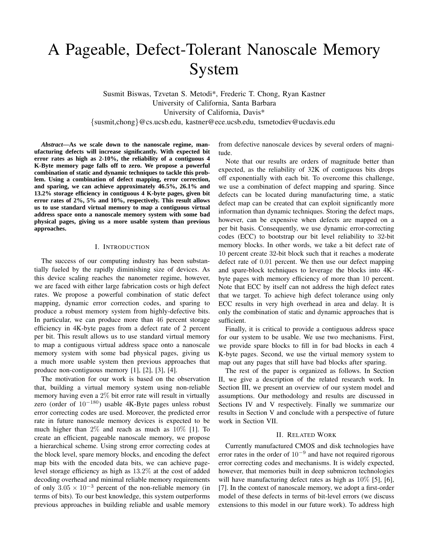# A Pageable, Defect-Tolerant Nanoscale Memory System

Susmit Biswas, Tzvetan S. Metodi\*, Frederic T. Chong, Ryan Kastner University of California, Santa Barbara University of California, Davis\* {susmit,chong}@cs.ucsb.edu, kastner@ece.ucsb.edu, tsmetodiev@ucdavis.edu

*Abstract***—As we scale down to the nanoscale regime, manufacturing defects will increase significantly. With expected bit error rates as high as 2-10%, the reliability of a contiguous 4 K-Byte memory page falls off to zero. We propose a powerful combination of static and dynamic techniques to tackle this problem. Using a combination of defect mapping, error correction, and sparing, we can achieve approximately 46.5%, 26.1% and 13.2% storage efficiency in contiguous 4 K-byte pages, given bit error rates of 2%, 5% and 10%, respectively. This result allows us to use standard virtual memory to map a contiguous virtual address space onto a nanoscale memory system with some bad physical pages, giving us a more usable system than previous approaches.**

#### I. INTRODUCTION

The success of our computing industry has been substantially fueled by the rapidly diminishing size of devices. As this device scaling reaches the nanometer regime, however, we are faced with either large fabrication costs or high defect rates. We propose a powerful combination of static defect mapping, dynamic error correction codes, and sparing to produce a robust memory system from highly-defective bits. In particular, we can produce more than 46 percent storage efficiency in 4K-byte pages from a defect rate of 2 percent per bit. This result allows us to use standard virtual memory to map a contiguous virtual address space onto a nanoscale memory system with some bad physical pages, giving us a much more usable system then previous approaches that produce non-contiguous memory [1], [2], [3], [4].

The motivation for our work is based on the observation that, building a virtual memory system using non-reliable memory having even a 2% bit error rate will result in virtually zero (order of  $10^{-180}$ ) usable 4K-Byte pages unless robust error correcting codes are used. Moreover, the predicted error rate in future nanoscale memory devices is expected to be much higher than  $2\%$  and reach as much as  $10\%$  [1]. To create an efficient, pageable nanoscale memory, we propose a hierarchical scheme. Using strong error correcting codes at the block level, spare memory blocks, and encoding the defect map bits with the encoded data bits, we can achieve pagelevel storage efficiency as high as 13.2% at the cost of added decoding overhead and minimal reliable memory requirements of only  $3.05 \times 10^{-3}$  percent of the non-reliable memory (in terms of bits). To our best knowledge, this system outperforms previous approaches in building reliable and usable memory from defective nanoscale devices by several orders of magnitude.

Note that our results are orders of magnitude better than expected, as the reliability of 32K of contiguous bits drops off exponentially with each bit. To overcome this challenge, we use a combination of defect mapping and sparing. Since defects can be located during manufacturing time, a static defect map can be created that can exploit significantly more information than dynamic techniques. Storing the defect maps, however, can be expensive when defects are mapped on a per bit basis. Consequently, we use dynamic error-correcting codes (ECC) to bootstrap our bit level reliability to 32-bit memory blocks. In other words, we take a bit defect rate of 10 percent create 32-bit block such that it reaches a moderate defect rate of 0.01 percent. We then use our defect mapping and spare-block techniques to leverage the blocks into 4Kbyte pages with memory efficiency of more than 10 percent. Note that ECC by itself can not address the high defect rates that we target. To achieve high defect tolerance using only ECC results in very high overhead in area and delay. It is only the combination of static and dynamic approaches that is sufficient.

Finally, it is critical to provide a contiguous address space for our system to be usable. We use two mechanisms. First, we provide spare blocks to fill in for bad blocks in each 4 K-byte pages. Second, we use the virtual memory system to map out any pages that still have bad blocks after sparing.

The rest of the paper is organized as follows. In Section II, we give a description of the related research work. In Section III, we present an overview of our system model and assumptions. Our methodology and results are discussed in Sections IV and V respectively. Finally we summarize our results in Section V and conclude with a perspective of future work in Section VII.

#### II. RELATED WORK

Currently manufactured CMOS and disk technologies have error rates in the order of  $10^{-9}$  and have not required rigorous error correcting codes and mechanisms. It is widely expected, however, that memories built in deep submicron technologies will have manufacturing defect rates as high as  $10\%$  [5], [6], [7]. In the context of nanoscale memory, we adopt a first-order model of these defects in terms of bit-level errors (we discuss extensions to this model in our future work). To address high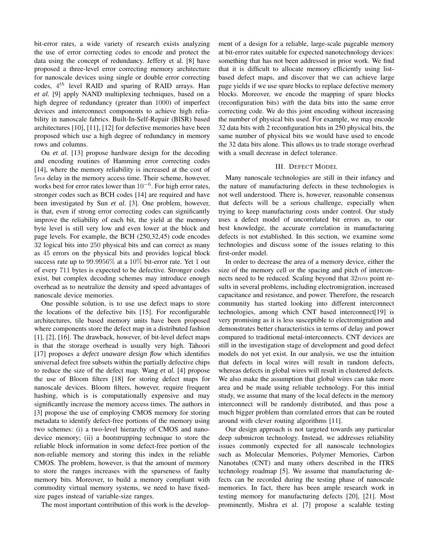bit-error rates, a wide variety of research exists analyzing the use of error correcting codes to encode and protect the data using the concept of redundancy. Jeffery et al. [8] have proposed a three-level error correcting memory architecture for nanoscale devices using single or double error correcting codes,  $4^{th}$  level RAID and sparing of RAID arrays. Han *et al.* [9] apply NAND multiplexing techniques, based on a high degree of redundancy (greater than 1000) of imperfect devices and interconnect components to achieve high reliability in nanoscale fabrics. Built-In-Self-Repair (BISR) based architectures [10], [11], [12] for defective memories have been proposed which use a high degree of redundancy in memory rows and columns.

Ou *et al.* [13] propose hardware design for the decoding and encoding routines of Hamming error correcting codes [14], where the memory reliability is increased at the cost of 5ns delay in the memory access time. Their scheme, however, works best for error rates lower than  $10^{-6}$ . For high error rates, stronger codes such as BCH codes [14] are required and have been investigated by Sun *et al.* [3]. One problem, however, is that, even if strong error correcting codes can significantly improve the reliability of each bit, the yield at the memory byte level is still very low and even lower at the block and page levels. For example, the BCH (250,32,45) code encodes 32 logical bits into 250 physical bits and can correct as many as 45 errors on the physical bits and provides logical block success rate up to 99.9956% at a 10% bit-error rate. Yet 1 out of every 711 bytes is expected to be defective. Stronger codes exist, but complex decoding schemes may introduce enough overhead as to neutralize the density and speed advantages of nanoscale device memories.

One possible solution, is to use use defect maps to store the locations of the defective bits [15]. For reconfigurable architectures, tile based memory units have been proposed where components store the defect map in a distributed fashion [1], [2], [16]. The drawback, however, of bit-level defect maps is that the storage overhead is usually very high. Tahoori [17] proposes a *defect unaware design flow* which identifies universal defect free subsets within the partially defective chips to reduce the size of the defect map. Wang *et al.* [4] propose the use of Bloom filters [18] for storing defect maps for nanoscale devices. Bloom filters, however, require frequent hashing, which is is computationally expensive and may significantly increase the memory access times. The authors in [3] propose the use of employing CMOS memory for storing metadata to identify defect-free portions of the memory using two schemes: (i) a two-level hierarchy of CMOS and nanodevice memory; (ii) a *bootstrapping* technique to store the reliable block information in some defect-free portion of the non-reliable memory and storing this index in the reliable CMOS. The problem, however, is that the amount of memory to store the ranges increases with the sparseness of faulty memory bits. Moreover, to build a memory compliant with commodity virtual memory systems, we need to have fixedsize pages instead of variable-size ranges.

The most important contribution of this work is the develop-

ment of a design for a reliable, large-scale pageable memory at bit-error rates suitable for expected nanotechnology devices: something that has not been addressed in prior work. We find that it is difficult to allocate memory efficiently using listbased defect maps, and discover that we can achieve large page yields if we use spare blocks to replace defective memory blocks. Moreover, we encode the mapping of spare blocks (reconfiguration bits) *with* the data bits into the same error correcting code. We do this joint encoding without increasing the number of physical bits used. For example, we may encode 32 data bits with 2 reconfiguration bits in 250 physical bits, the same number of physical bits we would have used to encode the 32 data bits alone. This allows us to trade storage overhead with a small decrease in defect tolerance.

## III. DEFECT MODEL

Many nanoscale technologies are still in their infancy and the nature of manufacturing defects in these technologies is not well understood. There is, however, reasonable consensus that defects will be a serious challenge, especially when trying to keep manufacturing costs under control. Our study uses a defect model of uncorrelated bit errors as, to our best knowledge, the accurate correlation in manufacturing defects is not established. In this section, we examine some technologies and discuss some of the issues relating to this first-order model.

In order to decrease the area of a memory device, either the size of the memory cell or the spacing and pitch of interconnects need to be reduced. Scaling beyond that  $32nm$  point results in several problems, including electromigration, increased capacitance and resistance, and power. Therefore, the research community has started looking into different interconnect technologies, among which CNT based interconnect[19] is very promising as it is less susceptible to electromigration and demonstrates better characteristics in terms of delay and power compared to traditional metal-interconnects. CNT devices are still in the investigation stage of development and good defect models do not yet exist. In our analysis, we use the intuition that defects in local wires will result in random defects, whereas defects in global wires will result in clustered defects. We also make the assumption that global wires can take more area and be made using reliable technology. For this initial study, we assume that many of the local defects in the memory interconnect will be randomly distributed, and thus pose a much bigger problem than correlated errors that can be routed around with clever routing algorithms [11].

Our design approach is not targeted towards any particular deep submicron technology. Instead, we addresses reliability issues commonly expected for all nanoscale technologies such as Molecular Memories, Polymer Memories, Carbon Nanotubes (CNT) and many others described in the ITRS technology roadmap [5]. We assume that manufacturing defects can be recorded during the testing phase of nanoscale memories. In fact, there has been ample research work in testing memory for manufacturing defects [20], [21]. Most prominently, Mishra et al. [7] propose a scalable testing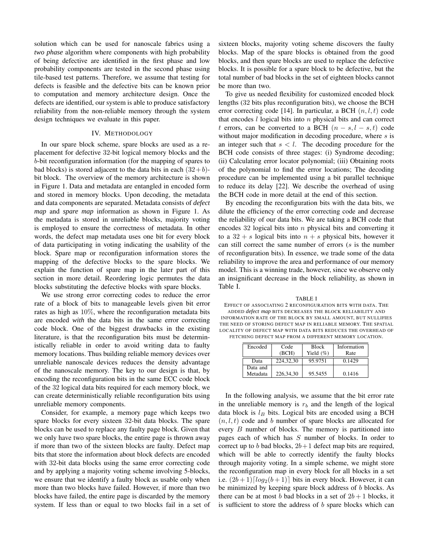solution which can be used for nanoscale fabrics using a *two phase* algorithm where components with high probability of being defective are identified in the first phase and low probability components are tested in the second phase using tile-based test patterns. Therefore, we assume that testing for defects is feasible and the defective bits can be known prior to computation and memory architecture design. Once the defects are identified, our system is able to produce satisfactory reliability from the non-reliable memory through the system design techniques we evaluate in this paper.

#### IV. METHODOLOGY

In our spare block scheme, spare blocks are used as a replacement for defective 32-bit logical memory blocks and the b-bit reconfiguration information (for the mapping of spares to bad blocks) is stored adjacent to the data bits in each  $(32+b)$ bit block. The overview of the memory architecture is shown in Figure 1. Data and metadata are entangled in encoded form and stored in memory blocks. Upon decoding, the metadata and data components are separated. Metadata consists of *defect map* and *spare map* information as shown in Figure 1. As the metadata is stored in unreliable blocks, majority voting is employed to ensure the correctness of metadata. In other words, the defect map metadata uses one bit for every block of data participating in voting indicating the usability of the block. Spare map or reconfiguration information stores the mapping of the defective blocks to the spare blocks. We explain the function of spare map in the later part of this section in more detail. Reordering logic permutes the data blocks substituting the defective blocks with spare blocks.

We use strong error correcting codes to reduce the error rate of a block of bits to manageable levels given bit error rates as high as 10%, where the reconfiguration metadata bits are encoded *with* the data bits in the same error correcting code block. One of the biggest drawbacks in the existing literature, is that the reconfiguration bits must be deterministically reliable in order to avoid writing data to faulty memory locations. Thus building reliable memory devices over unreliable nanoscale devices reduces the density advantage of the nanoscale memory. The key to our design is that, by encoding the reconfiguration bits in the same ECC code block of the 32 logical data bits required for each memory block, we can create deterministically reliable reconfiguration bits using unreliable memory components.

Consider, for example, a memory page which keeps two spare blocks for every sixteen 32-bit data blocks. The spare blocks can be used to replace any faulty page block. Given that we only have two spare blocks, the entire page is thrown away if more than two of the sixteen blocks are faulty. Defect map bits that store the information about block defects are encoded with 32-bit data blocks using the same error correcting code and by applying a majority voting scheme involving 5-blocks, we ensure that we identify a faulty block as usable only when more than two blocks have failed. However, if more than two blocks have failed, the entire page is discarded by the memory system. If less than or equal to two blocks fail in a set of sixteen blocks, majority voting scheme discovers the faulty blocks. Map of the spare blocks is obtained from the good blocks, and then spare blocks are used to replace the defective blocks. It is possible for a spare block to be defective, but the total number of bad blocks in the set of eighteen blocks cannot be more than two.

To give us needed flexibility for customized encoded block lengths (32 bits plus reconfiguration bits), we choose the BCH error correcting code [14]. In particular, a BCH  $(n, l, t)$  code that encodes  $l$  logical bits into  $n$  physical bits and can correct t errors, can be converted to a BCH  $(n - s, l - s, t)$  code without major modification in decoding procedure, where  $s$  is an integer such that  $s < l$ . The decoding procedure for the BCH code consists of three stages: (i) Syndrome decoding; (ii) Calculating error locator polynomial; (iii) Obtaining roots of the polynomial to find the error locations; The decoding procedure can be implemented using a bit parallel technique to reduce its delay [22]. We describe the overhead of using the BCH code in more detail at the end of this section.

By encoding the reconfiguration bits with the data bits, we dilute the efficiency of the error correcting code and decrease the reliability of our data bits. We are taking a BCH code that encodes 32 logical bits into  $n$  physical bits and converting it to a  $32 + s$  logical bits into  $n + s$  physical bits, however it can still correct the same number of errors  $(s$  is the number of reconfiguration bits). In essence, we trade some of the data reliability to improve the area and performance of our memory model. This is a winning trade, however, since we observe only an insignificant decrease in the block reliability, as shown in Table I.

TABLE I EFFECT OF ASSOCIATING 2 RECONFIGURATION BITS WITH DATA. THE ADDED *defect map* BITS DECREASES THE BLOCK RELIABILITY AND INFORMATION RATE OF THE BLOCK BY SMALL AMOUNT, BUT NULLIFIES THE NEED OF STORING DEFECT MAP IN RELIABLE MEMORY. THE SPATIAL LOCALITY OF DEFECT MAP WITH DATA BITS REDUCES THE OVERHEAD OF FETCHING DEFECT MAP FROM A DIFFERENT MEMORY LOCATION.

| Encoded              | Code<br>(BCH) | <b>Block</b><br>Yield $(\%)$ | Information<br>Rate |
|----------------------|---------------|------------------------------|---------------------|
| Data                 | 224, 32, 30   | 95.9751                      | 0.1429              |
| Data and<br>Metadata | 226, 34, 30   | 95.5455                      | 0.1416              |

In the following analysis, we assume that the bit error rate in the unreliable memory is  $r_b$  and the length of the logical data block is  $l_B$  bits. Logical bits are encoded using a BCH  $(n, l, t)$  code and b number of spare blocks are allocated for every B number of blocks. The memory is partitioned into pages each of which has  $S$  number of blocks. In order to correct up to b bad blocks,  $2b+1$  defect map bits are required, which will be able to correctly identify the faulty blocks through majority voting. In a simple scheme, we might store the reconfiguration map in every block for all blocks in a set i.e.  $(2b+1)\lceil log_2(b+1)\rceil$  bits in every block. However, it can be minimized by keeping spare block address of b blocks. As there can be at most b bad blocks in a set of  $2b + 1$  blocks, it is sufficient to store the address of  $b$  spare blocks which can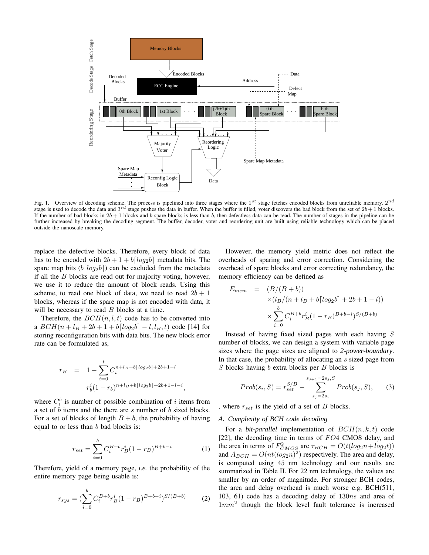

Fig. 1. Overview of decoding scheme. The process is pipelined into three stages where the 1<sup>st</sup> stage fetches encoded blocks from unreliable memory.  $2^{nd}$ stage is used to decode the data and  $3^{rd}$  stage pushes the data in buffer. When the buffer is filled, voter discovers the bad block from the set of  $2b+1$  blocks. If the number of bad blocks in  $2b + 1$  blocks and b spare blocks is less than b, then defectless data can be read. The number of stages in the pipeline can be further increased by breaking the decoding segment. The buffer, decoder, voter and reordering unit are built using reliable technology which can be placed outside the nanoscale memory.

replace the defective blocks. Therefore, every block of data has to be encoded with  $2b + 1 + b \lfloor log_2b \rfloor$  metadata bits. The spare map bits  $(b[log_2b])$  can be excluded from the metadata if all the  $B$  blocks are read out for majority voting, however, we use it to reduce the amount of block reads. Using this scheme, to read one block of data, we need to read  $2b + 1$ blocks, whereas if the spare map is not encoded with data, it will be necessary to read  $B$  blocks at a time.

Therefore, the  $BCH(n, l, t)$  code has to be converted into a  $BCH(n + l_B + 2b + 1 + b\lceil log_2b \rceil - l, l_B, t)$  code [14] for storing reconfiguration bits with data bits. The new block error rate can be formulated as,

$$
r_B = 1 - \sum_{i=0}^{t} C_i^{n+l_B+b\lceil log_2 b \rceil + 2b + 1 - l}
$$

$$
r_b^i (1 - r_b)^{n+l_B+b\lceil log_2 b \rceil + 2b + 1 - l - i},
$$

where  $C_i^b$  is number of possible combination of i items from a set of b items and the there are s number of b sized blocks. For a set of blocks of length  $B + b$ , the probability of having equal to or less than  $b$  bad blocks is:

$$
r_{set} = \sum_{i=0}^{b} C_i^{B+b} r_B^i (1 - r_B)^{B+b-i}
$$
 (1)

Therefore, yield of a memory page, *i.e.* the probability of the entire memory page being usable is:

$$
r_{sys} = \left(\sum_{i=0}^{b} C_i^{B+b} r_B^i (1 - r_B)^{B+b-i}\right)^{S/(B+b)} \tag{2}
$$

However, the memory yield metric does not reflect the overheads of sparing and error correction. Considering the overhead of spare blocks and error correcting redundancy, the memory efficiency can be defined as

$$
E_{mem} = (B/(B + b))
$$
  
×( $l_B/(n + l_B + b[log_2 b] + 2b + 1 - l)$ )  
×
$$
\sum_{i=0}^{b} C_i^{B+b} r_B^{i} (1 - r_B)^{B+b-i} S/(B + b)
$$

Instead of having fixed sized pages with each having S number of blocks, we can design a system with variable page sizes where the page sizes are aligned to *2-power-boundary*. In that case, the probability of allocating an s sized page from S blocks having b extra blocks per B blocks is

$$
Prob(s_i, S) = r_{set}^{S/B} - \sum_{s_j=2s_i}^{s_{j+1}=2s_j, S} Prob(s_j, S),
$$
 (3)

, where  $r_{set}$  is the yield of a set of  $B$  blocks.

## *A. Complexity of BCH code decoding*

For a *bit-parallel* implementation of  $BCH(n, k, t)$  code [22], the decoding time in terms of FO4 CMOS delay, and the area in terms of  $F_{CMOS}^2$  are  $\tau_{BCH} = O(t(log_2 n + log_2 t))$ and  $A_{BCH} = O(nt(log_2 n)^2)$  respectively. The area and delay, is computed using 45 nm technology and our results are summarized in Table II. For 22 nm technology, the values are smaller by an order of magnitude. For stronger BCH codes, the area and delay overhead is much worse e.g. BCH(511, 103, 61) code has a decoding delay of 130ns and area of  $1mm^2$  though the block level fault tolerance is increased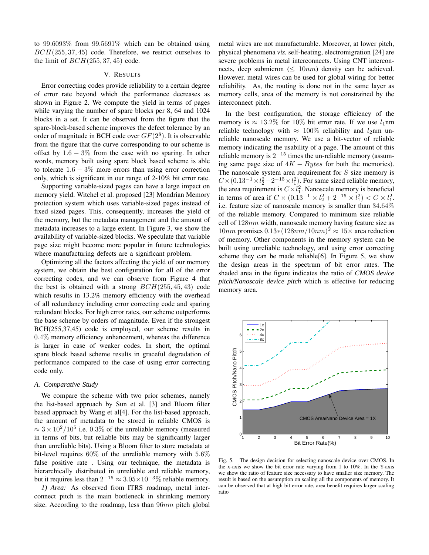to 99.6093% from 99.5691% which can be obtained using  $BCH(255, 37, 45)$  code. Therefore, we restrict ourselves to the limit of  $BCH(255, 37, 45)$  code.

# V. RESULTS

Error correcting codes provide reliability to a certain degree of error rate beyond which the performance decreases as shown in Figure 2. We compute the yield in terms of pages while varying the number of spare blocks per 8, 64 and 1024 blocks in a set. It can be observed from the figure that the spare-block-based scheme improves the defect tolerance by an order of magnitude in BCH code over  $GF(2<sup>8</sup>)$ . It is observable from the figure that the curve corresponding to our scheme is offset by  $1.6 - 3\%$  from the case with no sparing. In other words, memory built using spare block based scheme is able to tolerate  $1.6 - 3\%$  more errors than using error correction only, which is significant in our range of 2-10% bit error rate.

Supporting variable-sized pages can have a large impact on memory yield. Witchel et al. proposed [23] Mondrian Memory protection system which uses variable-sized pages instead of fixed sized pages. This, consequently, increases the yield of the memory, but the metadata management and the amount of metadata increases to a large extent. In Figure 3, we show the availability of variable-sized blocks. We speculate that variable page size might become more popular in future technologies where manufacturing defects are a significant problem.

Optimizing all the factors affecting the yield of our memory system, we obtain the best configuration for all of the error correcting codes, and we can observe from Figure 4 that the best is obtained with a strong  $BCH(255, 45, 43)$  code which results in 13.2% memory efficiency with the overhead of all redundancy including error correcting code and sparing redundant blocks. For high error rates, our scheme outperforms the base scheme by orders of magnitude. Even if the strongest BCH(255,37,45) code is employed, our scheme results in 0.4% memory efficiency enhancement, whereas the difference is larger in case of weaker codes. In short, the optimal spare block based scheme results in graceful degradation of performance compared to the case of using error correcting code only.

## *A. Comparative Study*

We compare the scheme with two prior schemes, namely the list-based approach by Sun et al. [3] and Bloom filter based approach by Wang et al[4]. For the list-based approach, the amount of metadata to be stored in reliable CMOS is  $\approx 3 \times 10^2/10^5$  i.e. 0.3% of the unreliable memory (measured in terms of bits, but reliable bits may be significantly larger than unreliable bits). Using a Bloom filter to store metadata at bit-level requires 60% of the unreliable memory with 5.6% false positive rate . Using our technique, the metadata is hierarchically distributed in unreliable and reliable memory, but it requires less than  $2^{-15} \approx 3.05 \times 10^{-3} \%$  reliable memory.

*1) Area:* As observed from ITRS roadmap, metal interconnect pitch is the main bottleneck in shrinking memory size. According to the roadmap, less than  $96nm$  pitch global metal wires are not manufacturable. Moreover, at lower pitch, physical phenomena *viz.* self-heating, electromigration [24] are severe problems in metal interconnects. Using CNT interconnects, deep submicron ( $\leq 10nm$ ) density can be achieved. However, metal wires can be used for global wiring for better reliability. As, the routing is done not in the same layer as memory cells, area of the memory is not constrained by the interconnect pitch.

In the best configuration, the storage efficiency of the memory is  $\approx 13.2\%$  for 10% bit error rate. If we use  $l_1$ nm reliable technology with  $\approx 100\%$  reliability and  $l_2$ nm unreliable nanoscale memory. We use a bit-vector of reliable memory indicating the usability of a page. The amount of this reliable memory is  $2^{-15}$  times the un-reliable memory (assuming same page size of  $4K - Bytes$  for both the memories). The nanoscale system area requirement for  $S$  size memory is  $C \times (0.13^{-1} \times l_2^2 + 2^{-15} \times l_1^2)$ . For same sized reliable memory, the area requirement is  $C \times l_1^2$ . Nanoscale memory is beneficial in terms of area if  $C \times (0.13^{-1} \times l_2^2 + 2^{-15} \times l_1^2) < C \times l_1^2$ . i.e. feature size of nanoscale memory is smaller than 34.64% of the reliable memory. Compared to minimum size reliable cell of 128nm width, nanoscale memory having feature size as 10nm promises  $0.13*(128nm/10nm)^2 \approx 15\times$  area reduction of memory. Other components in the memory system can be built using unreliable technology, and using error correcting scheme they can be made reliable[6]. In Figure 5, we show the design areas in the spectrum of bit error rates. The shaded area in the figure indicates the ratio of *CMOS device pitch/Nanoscale device pitch* which is effective for reducing memory area.



Fig. 5. The design decision for selecting nanoscale device over CMOS. In the x-axis we show the bit error rate varying from 1 to 10%. In the Y-axis we show the ratio of feature size necessary to have smaller size memory. The result is based on the assumption on scaling all the components of memory. It can be observed that at high bit error rate, area benefit requires larger scaling ratio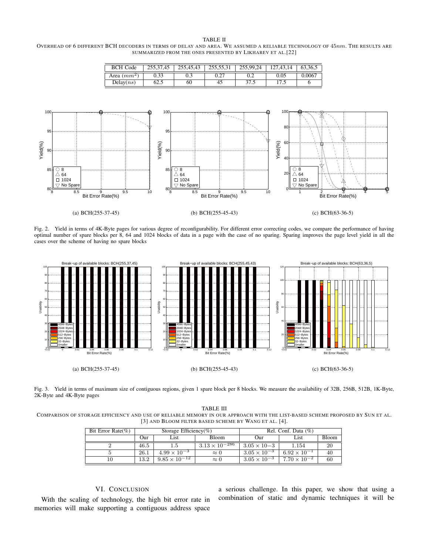#### TABLE II

OVERHEAD OF 6 DIFFERENT BCH DECODERS IN TERMS OF DELAY AND AREA. W<sup>E</sup> ASSUMED <sup>A</sup> RELIABLE TECHNOLOGY OF 45nm. THE RESULTS ARE SUMMARIZED FROM THE ONES PRESENTED BY LIKHAREV ET AL.[22]

| BCH C<br>Code | 25527<br>7.45 | 255,45,43 | 25550<br>233.33.31 | 255.99.24     | .43.14 | 63.36.5 |
|---------------|---------------|-----------|--------------------|---------------|--------|---------|
| Area ( $mm^2$ | 0.33          | U.J       | 0.27               | 0.2           | 0.05   | 0.0067  |
| Delay(ns)     | 62.5          | 60        | 45                 | 37 S<br>۱۰۰ د | ت -    |         |



Fig. 2. Yield in terms of 4K-Byte pages for various degree of reconfigurability. For different error correcting codes, we compare the performance of having optimal number of spare blocks per 8, 64 and 1024 blocks of data in a page with the case of no sparing. Sparing improves the page level yield in all the cases over the scheme of having no spare blocks



Fig. 3. Yield in terms of maximum size of contiguous regions, given 1 spare block per 8 blocks. We measure the availability of 32B, 256B, 512B, 1K-Byte, 2K-Byte and 4K-Byte pages

TABLE III COMPARISON OF STORAGE EFFICIENCY AND USE OF RELIABLE MEMORY IN OUR APPROACH WITH THE LIST-BASED SCHEME PROPOSED BY SUN ET AL. [3] AND BLOOM FILTER BASED SCHEME BY WANG ET AL. [4].

| Bit Error Rate $(\% )$ | Storage Efficiency(%) |                        |                         | Rel. Conf. Data $(\%)$ |                       |              |
|------------------------|-----------------------|------------------------|-------------------------|------------------------|-----------------------|--------------|
|                        | Our                   | List                   | <b>Bloom</b>            | Our)                   | List                  | <b>Bloom</b> |
|                        | 46.5                  | 1.5                    | $3.13 \times 10^{-286}$ | $3.05 \times 10 - 3$   | 1.154                 |              |
|                        | 26.1                  | $4.99 \times 10^{-3}$  | $\approx 0$             | $3.05 \times 10^{-3}$  | $6.92 \times 10^{-1}$ | 40           |
|                        | 13.2                  | $9.85 \times 10^{-12}$ | $\approx 0$             | $3.05 \times 10^{-3}$  | $7.70 \times 10^{-2}$ | 60           |

# VI. CONCLUSION

With the scaling of technology, the high bit error rate in memories will make supporting a contiguous address space a serious challenge. In this paper, we show that using a combination of static and dynamic techniques it will be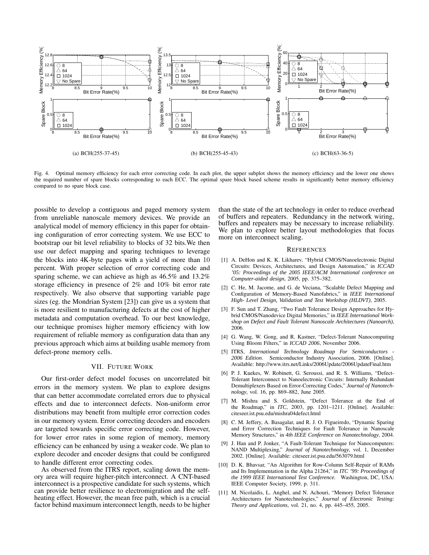

Fig. 4. Optimal memory efficiency for each error correcting code. In each plot, the upper subplot shows the memory efficiency and the lower one shows the required number of spare blocks corresponding to each ECC. The optimal spare block based scheme results in significantly better memory efficiency compared to no spare block case.

possible to develop a contiguous and paged memory system from unreliable nanoscale memory devices. We provide an analytical model of memory efficiency in this paper for obtaining configuration of error correcting system. We use ECC to bootstrap our bit level reliability to blocks of 32 bits.We then use our defect mapping and sparing techniques to leverage the blocks into 4K-byte pages with a yield of more than 10 percent. With proper selection of error correcting code and sparing scheme, we can achieve as high as 46.5% and 13.2% storage efficiency in presence of 2% and 10% bit error rate respectively. We also observe that supporting variable page sizes (eg. the Mondrian System [23]) can give us a system that is more resilient to manufacturing defects at the cost of higher metadata and computation overhead. To our best knowledge, our technique promises higher memory efficiency with low requirement of reliable memory as configuration data than any previous approach which aims at building usable memory from defect-prone memory cells.

# VII. FUTURE WORK

Our first-order defect model focuses on uncorrelated bit errors in the memory system. We plan to explore designs that can better accommodate correlated errors due to physical effects and due to interconnect defects. Non-uniform error distributions may benefit from multiple error correction codes in our memory system. Error correcting decoders and encoders are targeted towards specific error correcting code. However, for lower error rates in some region of memory, memory efficiency can be enhanced by using a weaker code. We plan to explore decoder and encoder designs that could be configured to handle different error correcting codes.

As observed from the ITRS report, scaling down the memory area will require higher-pitch interconnect. A CNT-based interconnect is a prospective candidate for such systems, which can provide better resilience to electromigration and the selfheating effect. However, the mean free path, which is a crucial factor behind maximum interconnect length, needs to be higher than the state of the art technology in order to reduce overhead of buffers and repeaters. Redundancy in the network wiring, buffers and repeaters may be necessary to increase reliability. We plan to explore better layout methodologies that focus more on interconnect scaling.

#### **REFERENCES**

- [1] A. DeHon and K. K. Likharev, "Hybrid CMOS/Nanoelectronic Digital Circuits: Devices, Architectures, and Design Automation," in *ICCAD '05: Proceedings of the 2005 IEEE/ACM International conference on Computer-aided design*, 2005, pp. 375–382.
- [2] C. He, M. Jacome, and G. de Veciana, "Scalable Defect Mapping and Configuration of Memory-Based Nanofabrics," in *IEEE International High- Level Design, Validation and Test Workshop (HLDVT)*, 2005.
- [3] F. Sun and T. Zhang, "Two Fault Tolerance Design Approaches for Hybrid CMOS/Nanodevice Digital Memories," in *IEEE International Workshop on Defect and Fault Tolerant Nanoscale Architectures (Nanoarch)*, 2006.
- [4] G. Wang, W. Gong, and R. Kastner, "Defect-Tolerant Nanocomputing Using Bloom Filters," in *ICCAD 2006*, November 2006.
- [5] ITRS, *International Technology Roadmap For Semiconductors - 2006 Edition*. Semiconductor Industry Association, 2006. [Online]. Available: http://www.itrs.net/Links/2006Update/2006UpdateFinal.htm
- [6] P. J. Kuekes, W. Robinett, G. Seroussi, and R. S. Williams, "Defect-Tolerant Interconnect to Nanoelectronic Circuits: Internally Redundant Demultiplexers Based on Error-Correcting Codes," *Journal of Nanotechnology*, vol. 16, pp. 869–882, June 2005.
- [7] M. Mishra and S. Goldstein, "Defect Tolerance at the End of the Roadmap," in *ITC*, 2003, pp. 1201–1211. [Online]. Available: citeseer.ist.psu.edu/mishra04defect.html
- [8] C. M. Jeffery, A. Basagalar, and R. J. O. Figueiredo, "Dynamic Sparing and Error Correction Techniques for Fault Tolerance in Nanoscale Memory Structures," in *4th IEEE Conference on Nanotechnology*, 2004.
- [9] J. Han and P. Jonker, "A Fault-Tolerant Technique for Nanocomputers: NAND Multiplexing," *Journal of Nanotechnology*, vol. 1, December 2002. [Online]. Available: citeseer.ist.psu.edu/563079.html
- [10] D. K. Bhavsar, "An Algorithm for Row-Column Self-Repair of RAMs and Its Implementation in the Alpha 21264," in *ITC '99: Proceedings of the 1999 IEEE International Test Conference*. Washington, DC, USA: IEEE Computer Society, 1999, p. 311.
- [11] M. Nicolaidis, L. Anghel, and N. Achouri, "Memory Defect Tolerance Architectures for Nanotechnologies," *Journal of Electronic Testing: Theory and Applications*, vol. 21, no. 4, pp. 445–455, 2005.